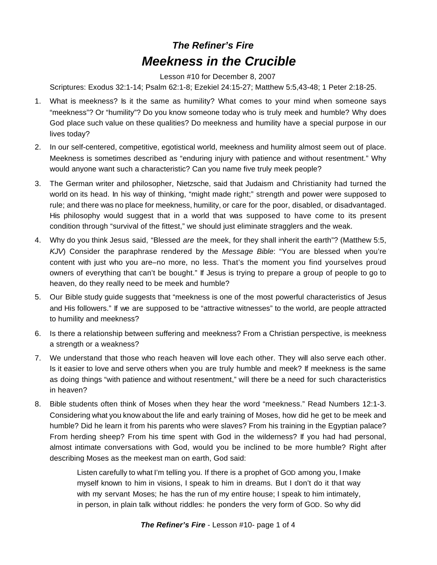## *The Refiner's Fire Meekness in the Crucible*

Lesson #10 for December 8, 2007

Scriptures: Exodus 32:1-14; Psalm 62:1-8; Ezekiel 24:15-27; Matthew 5:5,43-48; 1 Peter 2:18-25.

- 1. What is meekness? Is it the same as humility? What comes to your mind when someone says "meekness"? Or "humility"? Do you know someone today who is truly meek and humble? Why does God place such value on these qualities? Do meekness and humility have a special purpose in our lives today?
- 2. In our self-centered, competitive, egotistical world, meekness and humility almost seem out of place. Meekness is sometimes described as "enduring injury with patience and without resentment." Why would anyone want such a characteristic? Can you name five truly meek people?
- 3. The German writer and philosopher, Nietzsche, said that Judaism and Christianity had turned the world on its head. In his way of thinking, "might made right;" strength and power were supposed to rule; and there was no place for meekness, humility, or care for the poor, disabled, or disadvantaged. His philosophy would suggest that in a world that was supposed to have come to its present condition through "survival of the fittest," we should just eliminate stragglers and the weak.
- 4. Why do you think Jesus said, "Blessed *are* the meek, for they shall inherit the earth"? (Matthew 5:5, *KJV*) Consider the paraphrase rendered by the *Message Bible*: "You are blessed when you're content with just who you are–no more, no less. That's the moment you find yourselves proud owners of everything that can't be bought." If Jesus is trying to prepare a group of people to go to heaven, do they really need to be meek and humble?
- 5. Our Bible study guide suggests that "meekness is one of the most powerful characteristics of Jesus and His followers." If we are supposed to be "attractive witnesses" to the world, are people attracted to humility and meekness?
- 6. Is there a relationship between suffering and meekness? From a Christian perspective, is meekness a strength or a weakness?
- 7. We understand that those who reach heaven will love each other. They will also serve each other. Is it easier to love and serve others when you are truly humble and meek? If meekness is the same as doing things "with patience and without resentment," will there be a need for such characteristics in heaven?
- 8. Bible students often think of Moses when they hear the word "meekness." Read Numbers 12:1-3. Considering what you know about the life and early training of Moses, how did he get to be meek and humble? Did he learn it from his parents who were slaves? From his training in the Egyptian palace? From herding sheep? From his time spent with God in the wilderness? If you had had personal, almost intimate conversations with God, would you be inclined to be more humble? Right after describing Moses as the meekest man on earth, God said:

Listen carefully to what I'm telling you. If there is a prophet of GOD among you, I make myself known to him in visions, I speak to him in dreams. But I don't do it that way with my servant Moses; he has the run of my entire house; I speak to him intimately, in person, in plain talk without riddles: he ponders the very form of GOD. So why did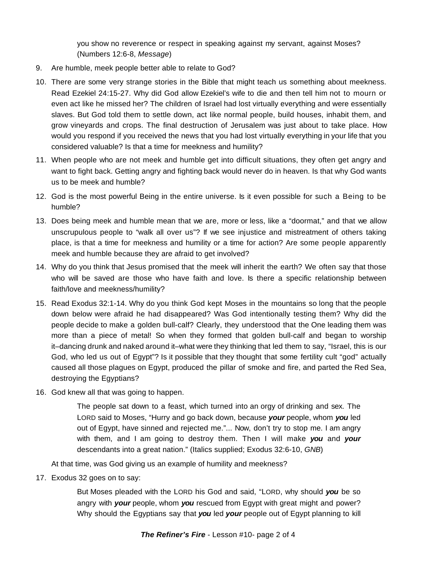you show no reverence or respect in speaking against my servant, against Moses? (Numbers 12:6-8, *Message*)

- 9. Are humble, meek people better able to relate to God?
- 10. There are some very strange stories in the Bible that might teach us something about meekness. Read Ezekiel 24:15-27. Why did God allow Ezekiel's wife to die and then tell him not to mourn or even act like he missed her? The children of Israel had lost virtually everything and were essentially slaves. But God told them to settle down, act like normal people, build houses, inhabit them, and grow vineyards and crops. The final destruction of Jerusalem was just about to take place. How would you respond if you received the news that you had lost virtually everything in your life that you considered valuable? Is that a time for meekness and humility?
- 11. When people who are not meek and humble get into difficult situations, they often get angry and want to fight back. Getting angry and fighting back would never do in heaven. Is that why God wants us to be meek and humble?
- 12. God is the most powerful Being in the entire universe. Is it even possible for such a Being to be humble?
- 13. Does being meek and humble mean that we are, more or less, like a "doormat," and that we allow unscrupulous people to "walk all over us"? If we see injustice and mistreatment of others taking place, is that a time for meekness and humility or a time for action? Are some people apparently meek and humble because they are afraid to get involved?
- 14. Why do you think that Jesus promised that the meek will inherit the earth? We often say that those who will be saved are those who have faith and love. Is there a specific relationship between faith/love and meekness/humility?
- 15. Read Exodus 32:1-14. Why do you think God kept Moses in the mountains so long that the people down below were afraid he had disappeared? Was God intentionally testing them? Why did the people decide to make a golden bull-calf? Clearly, they understood that the One leading them was more than a piece of metal! So when they formed that golden bull-calf and began to worship it–dancing drunk and naked around it–what were they thinking that led them to say, "Israel, this is our God, who led us out of Egypt"? Is it possible that they thought that some fertility cult "god" actually caused all those plagues on Egypt, produced the pillar of smoke and fire, and parted the Red Sea, destroying the Egyptians?
- 16. God knew all that was going to happen.

The people sat down to a feast, which turned into an orgy of drinking and sex. The LORD said to Moses, "Hurry and go back down, because *your* people, whom *you* led out of Egypt, have sinned and rejected me."... Now, don't try to stop me. I am angry with them, and I am going to destroy them. Then I will make *you* and *your* descendants into a great nation." (Italics supplied; Exodus 32:6-10, *GNB*)

At that time, was God giving us an example of humility and meekness?

17. Exodus 32 goes on to say:

But Moses pleaded with the LORD his God and said, "LORD, why should *you* be so angry with *your* people, whom *you* rescued from Egypt with great might and power? Why should the Egyptians say that *you* led *your* people out of Egypt planning to kill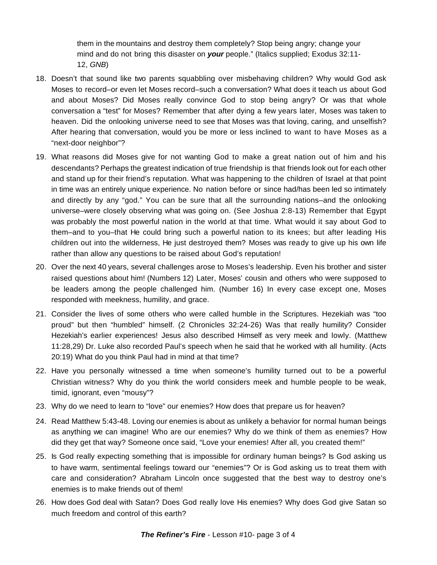them in the mountains and destroy them completely? Stop being angry; change your mind and do not bring this disaster on *your* people." (Italics supplied; Exodus 32:11- 12, *GNB*)

- 18. Doesn't that sound like two parents squabbling over misbehaving children? Why would God ask Moses to record–or even let Moses record–such a conversation? What does it teach us about God and about Moses? Did Moses really convince God to stop being angry? Or was that whole conversation a "test" for Moses? Remember that after dying a few years later, Moses was taken to heaven. Did the onlooking universe need to see that Moses was that loving, caring, and unselfish? After hearing that conversation, would you be more or less inclined to want to have Moses as a "next-door neighbor"?
- 19. What reasons did Moses give for not wanting God to make a great nation out of him and his descendants? Perhaps the greatest indication of true friendship is that friends look out for each other and stand up for their friend's reputation. What was happening to the children of Israel at that point in time was an entirely unique experience. No nation before or since had/has been led so intimately and directly by any "god." You can be sure that all the surrounding nations–and the onlooking universe–were closely observing what was going on. (See Joshua 2:8-13) Remember that Egypt was probably the most powerful nation in the world at that time. What would it say about God to them–and to you–that He could bring such a powerful nation to its knees; but after leading His children out into the wilderness, He just destroyed them? Moses was ready to give up his own life rather than allow any questions to be raised about God's reputation!
- 20. Over the next 40 years, several challenges arose to Moses's leadership. Even his brother and sister raised questions about him! (Numbers 12) Later, Moses' cousin and others who were supposed to be leaders among the people challenged him. (Number 16) In every case except one, Moses responded with meekness, humility, and grace.
- 21. Consider the lives of some others who were called humble in the Scriptures. Hezekiah was "too proud" but then "humbled" himself. (2 Chronicles 32:24-26) Was that really humility? Consider Hezekiah's earlier experiences! Jesus also described Himself as very meek and lowly. (Matthew 11:28,29) Dr. Luke also recorded Paul's speech when he said that he worked with all humility. (Acts 20:19) What do you think Paul had in mind at that time?
- 22. Have you personally witnessed a time when someone's humility turned out to be a powerful Christian witness? Why do you think the world considers meek and humble people to be weak, timid, ignorant, even "mousy"?
- 23. Why do we need to learn to "love" our enemies? How does that prepare us for heaven?
- 24. Read Matthew 5:43-48. Loving our enemies is about as unlikely a behavior for normal human beings as anything we can imagine! Who are our enemies? Why do we think of them as enemies? How did they get that way? Someone once said, "Love your enemies! After all, you created them!"
- 25. Is God really expecting something that is impossible for ordinary human beings? Is God asking us to have warm, sentimental feelings toward our "enemies"? Or is God asking us to treat them with care and consideration? Abraham Lincoln once suggested that the best way to destroy one's enemies is to make friends out of them!
- 26. How does God deal with Satan? Does God really love His enemies? Why does God give Satan so much freedom and control of this earth?